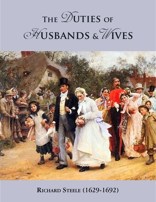# **THE**  $\mathcal{D}$  **UTIES** OF H**usbands &**W**ives**



**Richard Steele (1629-1692)**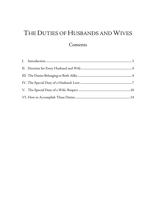# THE DUTIES OF HUSBANDS AND WIVES

# **Contents**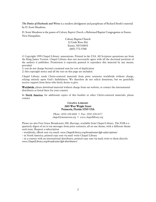*The Duties of Husbands and Wives* is a modern abridgment and paraphrase of Richard Steele's material by D. Scott Meadows.

D. Scott Meadows is the pastor of *Calvary Baptist Church,* a Reformed Baptist Congregation in Exeter, New Hampshire.

> Calvary Baptist Church 12 Little River Rd. Exeter, NH 03833 (603) 772-3760

© Copyright 1999 Chapel Library: annotations. Printed in the USA. All Scripture quotations are from the King James Version. Chapel Library does not necessarily agree with all the doctrinal positions of the authors it publishes. Permission is expressly granted to reproduce this material by any means, provided

1) you do not charge beyond a nominal sum for cost of duplication

2) this copyright notice and all the text on this page are included.

Chapel Library sends Christ-centered materials from prior centuries worldwide without charge, relying entirely upon God's faithfulness. We therefore do not solicit donations, but we gratefully receive support from those who freely desire to give.

Worldwide, please download material without charge from our website, or contact the international distributor as listed there for your country.

In North America, for additional copies of this booklet or other Christ-centered materials, please contact

#### **CHAPEL LIBRARY** 2603 West Wright Street Pensacola, Florida 32505 USA

*Phone: (850) 438-6666 • Fax: (850) 438-0227 [chapel@mountzion.org](mailto:chapel@mountzion.org) • [www.chapellibrary.org](http://www.mountzion.org/)*

Please see also Free Grace Broadcaster 200, *Marriage*, available from Chapel Library. The FGB is a quarterly digest of six to ten messages from prior centuries, all on one theme, with a different theme each issue. Request a subscription

– worldwide, eBook sent via email: *[www.ChapelLibrary.org/broadcaster/fgb-subscriptions/](http://www.chapellibrary.org/broadcaster/fgb-subscriptions/)*

– in North America, printed copy sent via mail: write Chapel Library

– in a country with an international distributor, printed copy sent via mail; write to them directly: *[www.ChapelLibrary.org/broadcaster/fgb-distributors/](http://www.chapellibrary.org/broadcaster/fgb-distributors/)*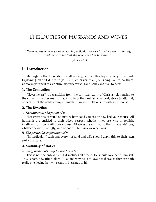# THE DUTIES OF HUSBANDS AND WIVES

*"Nevertheless let every one of you in particular so love his wife even as himself; and the wife see that she reverence her husband."*

—Ephesians 5:33

# <span id="page-3-0"></span>I. Introduction

Marriage is the foundation of all society, and so this topic is very important. Explaining marital duties to you is much easier than persuading you to do them. Conform your will to Scripture, not vice versa. Take Ephesians 5:33 to heart.

#### 1. The Connection

"Nevertheless" is a transition from the spiritual reality of Christ's relationship to the church. It either means that in spite of the unattainable ideal, strive to attain it, or because of the noble example, imitate it, in your relationship with your spouse.

#### 2. The Direction

#### *A. The universal obligation of it*

"Let every one of you," no matter how good you are or how bad your spouse. All husbands are entitled to their wives' respect, whether they are wise or foolish, intelligent or slow, skillful or clumsy. All wives are entitled to their husbands' love, whether beautiful or ugly, rich or poor, submissive or rebellious.

#### *B. The particular application of it*

"In particular," each and every husband and wife should apply this to their own particular case.

#### 3. Summary of Duties

#### *A. Every husband's duty to love his wife.*

This is not the only duty but it includes all others. He should love her as himself. This is both how (the Golden Rule) and why he is to love her (because they are both really one, loving her will result in blessings to him).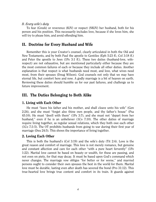#### *B. Every wife's duty*

To fear (Greek) or reverence (KJV) or respect (NKJV) her husband, both for his person and his position. This necessarily includes love, because if she loves him, she will try to please him, and avoid offending him.

# <span id="page-4-0"></span>II. Doctrine for Every Husband and Wife

Remember this is your Creator's counsel, clearly articulated in both the Old and New Testaments, and by both Paul the apostle to Gentiles (Eph 5:23 ff.; Col 3:18 ff.) and Peter the apostle to Jews (1Pe 3:1 ff.). These two duties (husband-love, wiferespect) are not exhaustive, but are mentioned particularly either because they are the most common failures of each or because they include all other duties. Another explanation is that respect is what husbands need most, and love, what wives need most, from their spouses (Doug Wilson). God counsels not only that we may have eternal life, but comfort here and now. A godly marriage is a bit of heaven on earth. Reviewing these duties should humble us for our past failures, and challenge us to future improvement.

# <span id="page-4-1"></span>III. The Duties Belonging to Both Alike

#### 1. Living with Each Other

He must "leave his father and his mother, and shall cleave unto his wife" (Gen 2:24), and she must "forget also thine own people, and thy father's house" (Psa 45:10). He must "dwell with them" (1Pe 3:7), and she must not "depart from her husband," even if he is an unbeliever (1Co 7:10). The other duties of marriage require living together, as regular sexual relations, which they both owe each other (1Co 7:3-5). The OT prohibits husbands from going to war during their first year of marriage (Deu 24:5). This shows the importance of living together.

#### 2. Loving Each Other

This is both the husband's (Col 3:19) and the wife's duty (Tit 2:4). Love is the great reason and comfort of marriage. This love is not merely romance, but genuine and constant affection and care for each other "with a pure heart fervently" (1Pe 1:22). Marital love cannot be based on beauty or wealth, for these are passing, and not even on piety, for that may decay. It must be based upon God's command which never changes. The marriage vow obliges "for better or for worse," and married persons ought to consider their own spouses the best in the world for them. Marital love must be durable, lasting even after death has severed the bond (Pro 31:12). This true-hearted love brings true content and comfort in its train. It guards against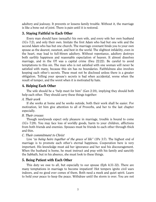adultery and jealousy. It prevents or lessens family trouble. Without it, the marriage is like a bone out of joint. There is pain until it is restored.

# 3. Staying Faithful to Each Other

Every man should have (sexually) his own wife, and every wife her own husband (1Co 7:2), and only their own. Imitate the first Adam who had but one wife and the second Adam who has but one church. The marriage covenant binds you to your own spouse as the dearest, sweetest, and best in the world. The slightest infidelity, even in the heart, may lead to full-blown adultery. Without repentance, adultery destroys both earthly happiness and reasonable expectation of heaven. It almost dissolves marriage, and in the OT was a capital crime (Deu 22:22). Be careful to avoid temptations to this sin. The man who is not satisfied with one woman will never be satisfied with many, because this sin has no boundaries. Faithfulness also involves keeping each other's secrets. These must not be disclosed unless there is a greater obligation. Telling your spouse's secrets is bad when accidental, worse when the result of temper, and the worst when it is motivated by hate.

# 4. Helping Each Other

The wife should be a "help meet for him" (Gen 2:18), implying they should both help each other. They should carry these things together:

*A. Their work* 

If she works at home and he works outside, both their work shall be easier. For motivation, let him give attention to all of Proverbs, and her to the last chapter especially.

# *B. Their crosses*

Though newlyweds expect only pleasure in marriage, trouble is bound to come (1Co 7:28). You may face loss of worldly goods, harm to your children, afflictions from both friends and enemies. Spouses must be friends to each other through thick and thin.

# *C. Their commitment to Christ*

Live *"as being heirs together of the grace of life"* (1Pe 3:7). The highest end of marriage is to promote each other's eternal happiness. Cooperation here is very important. His knowledge must aid her ignorance and her zeal his discouragement. When the husband is home, he must instruct and pray with his family and sanctify the Sabbath, but in his absence, she must look to these things.

# 5. Being Patient with Each Other

This duty we owe to all, but especially to our spouse (Eph 4:31-32). There are many temptations in marriage to become impatient! Hot tempers ignite civil wars indoors, and no good ever comes of them. Both need a meek and quiet spirit. Learn to hold your peace to keep the peace. Withdraw until the storm is over. You are not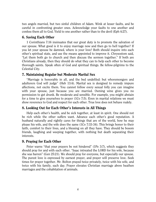two angels married, but two sinful children of Adam. Wink at lesser faults, and be careful in confronting greater ones. Acknowledge your faults to one another and confess them all to God. Yield to one another rather than to the devil (Eph 4:27).

# 6. Saving Each Other

1 Corinthians 7:16 insinuates that our great duty is to promote the salvation of our spouse. What good is it to enjoy marriage now and then go to hell together? If you let your spouse be damned, where is your love? Both should inquire into each other's spiritual state, and use the means appointed to improve it. Chrysostom said, "Let them both go to church and then discuss the sermon together." If both are Christians already, then they should do what they can to help each other to become thorough saints. Speak often of God and spiritual things. Be fellow-pilgrims to the Celestial City.

# 7. Maintaining Regular but Moderate Marital Sex

"Marriage is honorable in all, and the bed undefiled: but whoremongers and adulterers God will judge" (Heb 13:4). Marital sex is designed to remedy impure affections, not excite them. You cannot follow every sexual folly you can imagine with your spouse, just because you are married. Owning wine gives you no permission to get drunk. Be moderate and sensible. For example, you might abstain for a time to give yourselves to prayer (1Co 7:5). Even in marital relations we must show reverence to God and respect for each other. True love does not behave rudely.

# 8. Looking Out for Each Other's Interests in All Things

Help each other's health, and be sick together, at least in spirit. One should not be rich while the other suffers want. Advance each other's good reputation. A husband naturally and rightly cares for things that are of the world, how he may please his wife, and the wife does the same (1Co 7:33-34). This brings honor to their faith, comfort to their lives, and a blessing on all they have. They should be bosom friends, laughing and weeping together, with nothing but death separating their interests.

# 9. Praying for Each Other

Peter warns "that your prayers be not hindered" (1Pe 3:7), which suggests they should pray for and with each other. "Isaac intreated the LORD for his wife, because she was barren" (Gen 25:21). We should pray for everyone, but especially our spouse. The purest love is expressed by earnest prayer, and prayer will preserve love. Seek times for prayer together. Mr. Bolton prayed twice privately, twice with his wife, and twice with his family, each day. Prayer elevates Christian marriage above heathen marriages and the cohabitation of animals.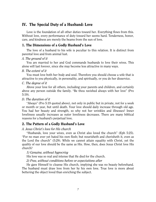# <span id="page-7-0"></span>IV. The Special Duty of a Husband: Love

Love is the foundation of all other duties toward her. Everything flows from this. Without love, every performance of duty toward her seems hard. Tenderness, honor, care, and kindness are merely the beams from the sun of love.

# 1. The Dimensions of a Godly Husband's Love

The love of a husband to his wife is peculiar to this relation. It is distinct from parental love and from animal lust.

# *A. The ground of it*

You are married to her and God commands husbands to love their wives. This alone will last forever, since she may become less attractive in many ways.

# *B. The extent of it*

You must love both her body and soul. Therefore you should choose a wife that is attractive to you physically, in personality, and spiritually, or you do her disservice.

# *C. The degree of it*

Above your love for all others, including your parents and children, and certainly above any person outside the family. "Be thou ravished always with her love" (Pro 5:19).

#### *D. The duration of it*

"Always" (Pro 5:19 quoted above), not only in public but in private, not for a week or month or year, but until death. Your love should daily increase through old age. You had her beauty and strength, so why not her wrinkles and illnesses? Inner loveliness usually increases as outer loveliness decreases. There are many biblical reasons for a husband's perpetual love.

# 2. The Pattern of a Godly Husband's Love

# *A. Jesus Christ's love for His church*

"Husbands, love your wives, even as Christ also loved the church" (Eph 5:25). "For no man ever yet hated his own flesh; but nourisheth and cherisheth it, even as the Lord the church" (5:29). While we cannot attain equality with Christ, yet the quality of our love should be the same as His. How, then, does Jesus Christ love His church?

# *1) Genuine, without hypocrisy*

His love was so real and intense that He died for the church.

# *2) Free, without conditions before or expectations after*

He gave Himself to cleanse His church, implying she was no beauty beforehand. The husband must draw love from her by his own love. True love is more about bettering the object loved than enriching the subject.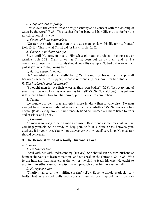#### *3) Holy, without impurity*

Christ loved the church "that he might sanctify and cleanse it with the washing of water by the word" (5:26). This teaches the husband to labor diligently to further the sanctification of his wife.

#### *4) Great, without comparison*

"Greater love hath no man than this, that a man lay down his life for his friends" (Joh 15:13). This is what Christ did for His church (5:25).

#### *5) Constant, without change*

Even until He presents her to Himself a glorious church, not having spot or wrinkle (Eph 5:27). Many times has Christ been put off by them, and yet He continues to love them. Husbands should copy His example. No bad behavior on her part is grounds to stop loving her.

#### *6) Active, without neglect*

He "nourisheth and cherisheth" her (5:29). He must do his utmost to supply all her needs, whether for support, or constant friendship, or a nurse for her illness.

#### *B. The husband's love for himself*

"So ought men to love their wives as their own bodies" (5:28). "Let every one of you in particular so love his wife even as himself" (5:33). Now although this pattern is less than Christ's love for His church, yet it is easier to comprehend.

#### *1) Tender*

We handle our own sores and griefs more tenderly than anyone else. "No man ever yet hated his own flesh; but nourisheth and cherisheth it" (5:29). Wives are like crystal glasses, easily broken if not tenderly handled. Women are more liable to fears and passions and griefs.

#### *2) Cheerful*

No man is so ready to help a man as himself. Best friends sometimes fail you but you help yourself. So be ready to help your wife. If a cloud arises between you, dissipate it by your love. You will not stay angry with yourself very long. No mediator should be needed.

# 3. The Demonstration of a Godly Husband's Love

#### *A. In word*

# *1) He teaches her.*

Dwell with her with understanding (1Pe 3:7). She should ask her own husband at home if she wants to learn something, and not speak in the church (1Co 14:35). Woe to the husband that lacks either the will or the skill to teach his wife! He ought to acquire it in either case. Otherwise she will probably curse him forever in hell!

#### *2) He reproves her.*

"Charity shall cover the multitude of sins" (1Pe 4:8), so he should overlook many faults. Just as a sword dulls with constant use, so does reproof. Yet true love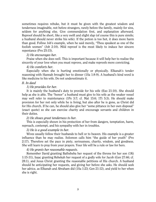sometimes requires rebuke, but it must be given with the greatest wisdom and tenderness imaginable, not before strangers, rarely before the family, mainly for sins, seldom for anything else. Give commendation first, and explanation afterward. Reproof should be short, like a very swift and slight slap (of course this is pure simile; a husband should never strike his wife). If the potion is too hot, it does more harm than good. Follow Job's example, when he said merely, "Thou speakest as one of the foolish women" (Job 2:10). Mild reproof is the most likely to induce her sincere repentance (Pro 25:15).

#### *3) He encourages her.*

Praise when she does well. This is important because it will help her to realize the sincerity of your love when you must reprove, and make reproofs more convicting.

#### *4) He comforts her.*

Especially when she is hurting emotionally or physically. Elkanah's tender reasoning with Hannah brought her to dinner (1Sa 1:8-9). A husband's kind word is like medicine to his wife. Do not underestimate it.

#### *B. In deed*

#### *1) He provides for her.*

It is mainly the husband's duty to provide for his wife (Exo 21:10). She should help as she is able. The "honor" a husband must give to his wife as the weaker vessel may well refer to maintenance (1Pe 3:7; cf. Mat 15:6; 1Ti 5:3). He should make provision for her not only while he is living, but also after he is gone, as Christ did for His church. If he can, he should also give her "some pittance in her own disposal" (exact quote) so she can exercise charity and encourage servants and children in their duties.

#### *2) He shows great tenderness to her.*

This is especially shown in his protection of her from dangers, temptation, harm, reproach, contempt, and his sympathy with her in troubles.

#### *3) He is a good example to her.*

Wives usually follow their husbands to hell or to heaven. His example is a greater influence than he may realize. Solomon calls him "the guide of her youth" (Pro 2:17). Therefore set the pace in piety, seriousness, charity, wisdom, and goodness. She will learn to pray from your prayers. Your life will be a rule or law for hers.

#### *4) He grants her reasonable requests.*

Remember David granting Bathsheba her request of the throne for her son (1Ki 1:15-31), Isaac granting Rebekah her request of a godly wife for Jacob (Gen 27:46; cf. 28:1), and Jesus Christ granting the reasonable petitions of His church. A husband should be anticipating her requests, and giving her before she asks. He should seek her advice, as Elkanah and Abraham did (1Sa 1:23; Gen 21:12), and yield to her when she is right.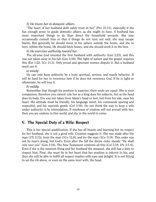#### *5) He trusts her in domestic affairs.*

"The heart of her husband doth safely trust in her" (Pro 31:11), especially if she has enough sense to guide domestic affairs, as she ought to have. A husband has more important things to do than direct the household servants. She may occasionally consult him so that if things do not turn out well, she may escape blame. But generally he should move in his sphere outside the home, and she in hers, within the home. He should fetch honey, and she should work it in the hive.

#### *6) He exercises authority toward her.*

The all-wise God invested the first husband with authority (Gen 2:23), and this was not taken away in his fall (Gen 3:16). The light of nature and the gospel requires this (Est 1:22; 1Co 11:3). Only proud and ignorant women dispute it. But a husband must use it:

#### *a) wisely*

He can only keep authority by a truly spiritual, serious, and manly behavior. It will be hard for her to reverence him if he does not reverence God. If he is light or effeminate, he will lose it.

#### *b) mildly*

Remember that though his position is superior, their souls are equal. She is your companion, therefore you cannot rule her as a king does his subjects, but as the head does its body. Eve was not taken from Adam's head or foot, but from his side, near his heart. His attitude must be friendly, his language sweet, his commands sparing and respectful, and his reproofs gentle (Col 3:16). Do not think the way to keep a wife under authority is by intimidation. If meekness of wisdom will not prevail with her, then you are undone in this world, and she in the world to come.

# <span id="page-10-0"></span>V. The Special Duty of a Wife: Respect

This is her special qualification. If she has all beauty and learning but no respect for her husband, she is not a good wife. Creation suggests it. She was made after the man (1Ti 2:13), from the man (1Co 11:8), and for the man (1Co 11:9). This order was not by man's doing, but God's. Even after the fall the divine order stands: "He shall rule over you" (Gen 3:16). The New Testament confirms all this (Col 3:18; 1Pe 3:1-6). Even if she is the sweetest thing and her husband the meanest, she still has a duty to respect him. First, she must fix in her heart that her position is inferior to his, and then she will be able to fulfill all respect implies with ease and delight. It is not fitting to set the rib above, or even on the same level with, the head.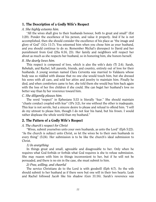# 1. The Description of a Godly Wife's Respect

#### *A. She highly esteems him.*

"All the wives shall give to their husbands honour, both to great and small" (Est 1:20). Ponder the excellence of his person, and value it properly. And if he is not accomplished, then she should consider the excellence of his place as "the image and glory of God" (1Co 11:7). You esteemed him when you chose him as your husband, and you should continue to do so. Remember Michal's disrespect to David and her punishment from God (2Sa 6:16, 23). Her family and neighbors will respect her about as much as she respects her husband, so in honoring him, she honors herself.

# *B. She dearly loves him.*

This respect is composed of love, which is also the wife's duty (Ti 2:4). Sarah, Rebekah, and Rachel, left parents, friends, and country, entirely out of love for their husbands. A young woman named Clara Cerventa was married to Valdaura whose body was so riddled with disease that no one else would touch him, but she dressed his sores with all care, and sold her attire and jewelry to maintain him. Finally he died, and when comforters came to her, she told them she would buy him back again with the loss of her five children if she could. She can beget her husband's love no better way than by her reverence toward him.

# *C. She diligently pleases him.*

The word "respect" in Ephesians 5:33 is literally "fear." She should maintain "chaste conduct coupled with fear" (1Pe 3:2), for one without the other is inadequate. This fear is not servile, but a sincere desire to please and refusal to offend him. "I will do my utmost to please him, though I do not fear his hand, but his frown. I would rather displease the whole world than my husband."

# 2. The Pattern of a Godly Wife's Respect

# *A. The church's respect for Christ*

"Wives, submit yourselves unto your own husbands, as unto the Lord" (Eph 5:22). "As the church is subject unto Christ, so let the wives be to their own husbands in every thing" (5:24). Her submission is to be like the church's ideal submission to Christ.

# *1) In everything*

In things great and small, agreeable and disagreeable to her. Only when he requires what God forbids or forbids what God requires is she to refuse submission. She may reason with him in things inconvenient to her, but if he will not be persuaded, and there is no sin in the case, she must submit to him.

# *2) Free, willing, and cheerful*

The service Christians do to the Lord is with goodwill (Eph 6:7). So the wife should submit to her husband as if there were but one will in their two hearts. Leah and Rachel followed Jacob like his shadow (Gen 31:16). Sarah's reverence was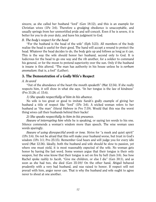sincere, as she called her husband "lord" (Gen 18:12), and this is an example for Christian wives (1Pe 3:6). Therefore a grudging obedience is unacceptable, and usually springs from her unmortified pride and self-conceit. Even if he is severe, it is better for you to do your duty, and leave his judgment to God.

#### *B. The body's respect for the head*

"For the husband is the head of the wife" (Eph 5:23). All members of the body realize the head is useful for their good. The hand will accept a wound to protect the head. Whatever the head decides to do, the body gets up and follows as long as it can. This is the way the wife should honor her husband, second only to God. It is ludicrous for the head to go one way and the rib another, for a soldier to command his general, or for the moon to pretend superiority over the sun. Only if the husband is insane is this altered. "The man has authority in his house unless he is *verbum anomalum*; that is, a fool" (Luther).

# 3. The Demonstration of a Godly Wife's Respect

#### *A. In word*

"Out of the abundance of the heart the mouth speaketh" (Mat 12:34). If she really respects him, it will show in what she says. "In her tongue is the law of kindness" (Pro 31:26; cf. 15:4).

#### *1) She speaks respectfully of him in his absence.*

No wife is too great or good to imitate Sarah's godly example of giving her husband a title of respect like "lord" (1Pe 3:6). A wicked woman refers to her husband as "the man" (literal Hebrew in Pro 7:19). Would that this was the worst thing wives call their husbands behind their backs!

#### *2) She speaks respectfully to him in his presence.*

*Beware of interrupting him* while he is speaking, or saying ten words to his one. Silence commends a woman's wisdom more than speech. The wise woman uses words sparingly.

*Beware of using disrespectful words or tone.* Strive for "a meek and quiet spirit" (1Pe 3:4). Do not be afraid that this will make your husband worse, but trust in God's wisdom (1Pe 3:1; Pro 25:15). Remember God hears and will judge you for every idle word (Mat 12:36). Ideally, both the husband and wife should be slow to passion, yet where one must yield, it is most reasonably expected of the wife. No woman gets honor by having the last word. Some women argue that their tongue is their only weapon, but the wise know that their tongue is set on fire by hell (Jam 3:6). See how Rachel spoke rashly to Jacob, "Give me children, or else I die" (Gen 30:1), and as soon as she had two, she died (Gen 35:18)! On the other hand, Abigail behaved prudently with a very bad husband, and was raised to honor. If respect will not prevail with him, anger never can. That is why the husband and wife ought to agree never to shout at one another.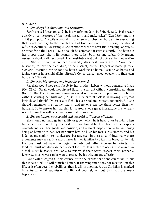#### *B. In deed*

#### *1) She obeys his directions and restraints.*

Sarah obeyed Abraham, and she is a worthy model (1Pe 3:6). He said, "Make ready quickly three measures of fine meal, knead it, and make cakes" (Gen 18:6), and she did it promptly. The wife is bound in conscience to obey her husband in everything that is not contrary to the revealed will of God, and even in this case, she should refuse respectfully. For example, she cannot consent to omit Bible reading, or prayer, or sanctifying the Lord's Day, although he command it ever so sternly. The house is her proper place; she is its beauty; there is her business and safety. Only urgent necessity should call her abroad. The prostitute's feet did not abide at her house (Pro 7:11). She must live where her husband judges best. Wives are to "love their husbands, to love their children, to be discreet, chaste, keepers at home [Greek, *oikouros*, meaning caring for the house, working at home, keeping at home and taking care of household affairs, Strong's Concordance], good, obedient to their own husbands" (Ti 2:4).

#### *2) She asks his counsel and hears his reproofs.*

Rebekah would not send Jacob to her brother Laban without consulting Isaac (Gen 27:46). Sarah would not discard Hagar the servant without consulting Abraham (Gen 21:10). The Shunammite woman would not receive a prophet into the house without advising her husband (2Ki 4:10). Her hardest task is in hearing a reproof lovingly and thankfully, especially if she has a proud and contentious spirit. But she should remember she has her faults, and no one can see them better than her husband. So to answer him harshly for reproof shows great ingratitude. If she really respects him, this will be a much easier pill to swallow.

#### *3) She maintains a respectful and cheerful attitude at all times.*

She should not indulge irritability or gloom when he is happy, nor be giddy when he is sad. She should try her best to make him delight in her. Let her express contentedness in her goods and position, and a sweet disposition so he will enjoy being at home with her. Let her study how he likes his meals, his clothes, and his lodging, and conform to his pleasure, because even in these small things many sharp arguments may arise. She must never let her familiarity with him breed contempt. His love must not make her forget her duty, but rather increase her efforts. His fondness must not decrease her respect for him. It is better to obey a wise man than a fool. Most husbands are liable to reform if their wives respect them properly. Likewise, most wives can be won to respect by his wisdom and affection.

Some will disregard all this counsel with the excuse that none can attain it, but this mocks God. He will punish all such. If His vengeance does not meet you in this life, as it often does the rebellious, then it will in another. A true Christian is marked by a fundamental submission to Biblical counsel; without this, you are mere hypocrites.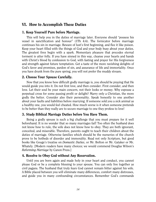# <span id="page-14-0"></span>VI. How to Accomplish These Duties

#### 1. Keep Yourself Pure before Marriage.

This will help you in the duties of marriage later. Everyone should "possess his vessel in sanctification and honour" (1Th 4:4). The fornicator before marriage continues his sin in marriage. Beware of lust's first beginning, and flee it like poison. Keep your heart filled with the things of God and your body busy about your duties. The greatest fires begin with a spark. Momentary pleasure that precedes eternal torment is utter folly. If you have sinned in this way, cleanse your hearts and hands with Christ's blood by confession to God, with fasting and prayer for His forgiveness and strength against future temptation. Get a taste of the more ravishing delights of God's favor and promises, pardon of sin, and assurance of life and immortality. Once you have drunk from the pure spring, you will not prefer the muddy stream.

# 2. Choose Your Spouse Carefully.

Now that you know how difficult godly marriage is, you should be praying that He would guide you into it. Do not first love, and then consider. First consider, and then love. Let their soul be your main concern, not their looks or money. Why espouse a perpetual cross for some passing profit or delight? Marry only a Christian, the more godly the better. Consider also their personality. Speak honestly to one another about your faults and liabilities before marrying. If someone sold you a sick animal as a healthy one, you would feel cheated. How much worse is it when someone pretends to be better than they really are to secure marriage to one they profess to love!

#### 3. Study Biblical Marriage Duties before You Have Them.

Being a godly spouse is such a big challenge that you must prepare for it well beforehand. It is no wonder that so many marriages fail! Too often the husband does not know how to rule, the wife does not know how to obey. They are both ignorant, conceited, and miserable. Therefore, parents ought to teach their children about the duties of marriage. Otherwise families which should be the nurseries of the church prove to be hotbeds of disorder and immorality. Read not only Scripture, but good books like Gouge's treatise on *Domestic Duties*, or Mr. Bolton or Mr. Gataker or Mr. Whately. [Modern readers have many choices; we would commend Douglas Wilson's *Reforming Marriage* by Canon Press.]

#### 4. Resolve to Obey God without Any Reservation.

Until you are born again and made holy in your heart and conduct, you cannot please God or be a complete blessing to your spouse. You can only live together as civil pagans. The husband that truly fears God cannot remain bitter against his wife. A Bible placed between you will eliminate many differences, comfort many distresses, and guide you in many confounding circumstances. Remember God's commands